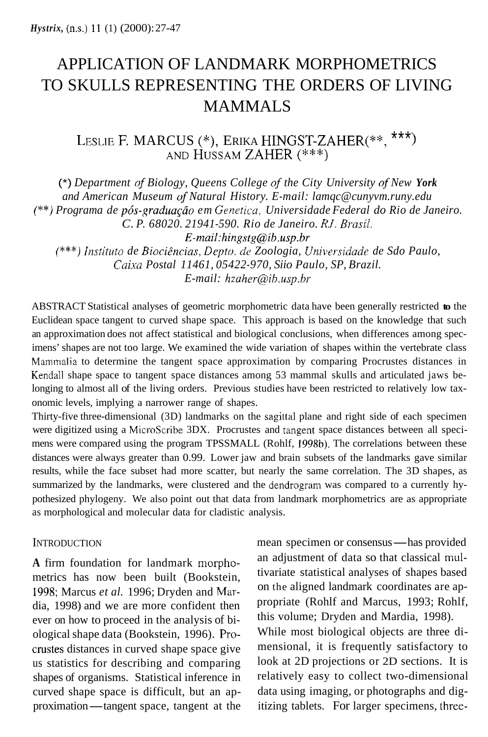# APPLICATION OF LANDMARK MORPHOMETRICS TO SKULLS REPRESENTING THE ORDERS OF LIVING MAMMALS

# Leslie F. MARCUS (\*), Erika HINGST-ZAHER(\*\*, \*\*\*) AND HUSSAM ZAHER (\*\*\*)

(\*) *Department of Biology, Queens College of the City University of New York and American Museum* of *Natural History. E-mail: lamqc@cunyvm.runy.edu*  (\*\*) *Programa de pós-graduação em Genetica, Universidade Federal do Rio de Janeiro. C. P. 68020. 21941-590. Rio de Janeiro. RJ. Brad. E-mail:hingstg@ib.usp.br*  (\*\*\*) *Instituto de Biorigncias, Depto. de Zoologia, Universidade de Sdo Paulo, Caixa Postal 11461, 05422-970, Siio Paulo, SP, Brazil. E-mail: hzaher@ih.usp.hr* 

ABSTRACT Statistical analyses of geometric morphometric data have been generally restricted **to** the Euclidean space tangent to curved shape space. This approach is based on the knowledge that such an approximation does not affect statistical and biological conclusions, when differences among specimens' shapes are not too large. We examined the wide variation of shapes within the vertebrate class Mammalia to determine the tangent space approximation by comparing Procrustes distances in Kendall shape space to tangent space distances among 53 mammal skulls and articulated jaws belonging to almost all of the living orders. Previous studies have been restricted to relatively low taxonomic levels, implying a narrower range of shapes.

Thirty-five three-dimensional (3D) landmarks on the sagittal plane and right side of each specimen were digitized using a MicroScribe 3DX. Procrustes and tangent space distances between all specimens were compared using the program TPSSMALL (Rohlf, 1998b). The correlations between these distances were always greater than 0.99. Lower jaw and brain subsets of the landmarks gave similar results, while the face subset had more scatter, but nearly the same correlation. The 3D shapes, as summarized by the landmarks, were clustered and the dendrogram was compared to a currently hypothesized phylogeny. We also point out that data from landmark morphometrics are as appropriate as morphological and molecular data for cladistic analysis.

#### **INTRODUCTION**

**A** firm foundation for landmark morphometrics has now been built (Bookstein, 1998; Marcus *et al.* 1996; Dryden and Mardia, 1998) and we are more confident then ever on how to proceed in the analysis of biological shape data (Bookstein, 1996). Procrustes distances in curved shape space give us statistics for describing and comparing shapes of organisms. Statistical inference in curved shape space is difficult, but an approximation—tangent space, tangent at the mean specimen or consensus — has provided an adjustment of data so that classical multivariate statistical analyses of shapes based on the aligned landmark coordinates are appropriate (Rohlf and Marcus, 1993; Rohlf, this volume; Dryden and Mardia, 1998). While most biological objects are three dimensional, it is frequently satisfactory to look at 2D projections or 2D sections. It is relatively easy to collect two-dimensional data using imaging, or photographs and digitizing tablets. For larger specimens, three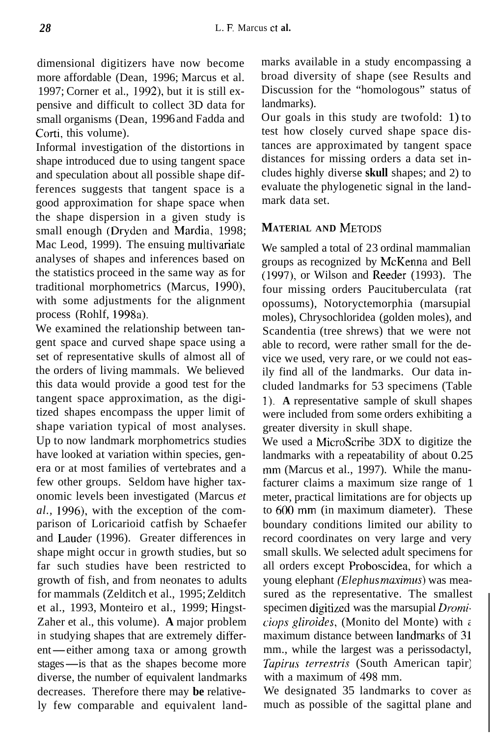dimensional digitizers have now become more affordable (Dean, 1996; Marcus et al. 1997; Corner et al., 1992), but it is still expensive and difficult to collect 3D data for small organisms (Dean, 1996 and Fadda and Corti, this volume).

Informal investigation of the distortions in shape introduced due to using tangent space and speculation about all possible shape differences suggests that tangent space is a good approximation for shape space when the shape dispersion in a given study is small enough (Dryden and Mardia, 1998; Mac Leod, 1999). The ensuing multivariate analyses of shapes and inferences based on the statistics proceed in the same way as for traditional morphometrics (Marcus, 1990), with some adjustments for the alignment process (Rohlf, 1998a).

We examined the relationship between tangent space and curved shape space using a set of representative skulls of almost all of the orders of living mammals. We believed this data would provide a good test for the tangent space approximation, as the digitized shapes encompass the upper limit of shape variation typical of most analyses. Up to now landmark morphometrics studies have looked at variation within species, genera or at most families of vertebrates and a few other groups. Seldom have higher taxonomic levels been investigated (Marcus *et al.,* 1996), with the exception of the comparison of Loricarioid catfish by Schaefer and Lauder (1996). Greater differences in shape might occur in growth studies, but so far such studies have been restricted to growth of fish, and from neonates to adults for mammals (Zelditch et al., 1995; Zelditch et al., 1993, Monteiro et al., 1999; Hingst-Zaher et al., this volume). **A** major problem in studying shapes that are extremely differ-Zaher et al., this volume). A major problem<br>in studying shapes that are extremely differ-<br>ent—either among taxa or among growth ent—either among taxa or among growth<br>stages—is that as the shapes become more diverse, the number of equivalent landmarks decreases. Therefore there may **be** relatively few comparable and equivalent landmarks available in a study encompassing a broad diversity of shape (see Results and Discussion for the "homologous" status of landmarks).

Our goals in this study are twofold: 1) to test how closely curved shape space distances are approximated by tangent space distances for missing orders a data set includes highly diverse **skull** shapes; and 2) to evaluate the phylogenetic signal in the landmark data set.

# **MATERIAL AND** METODS

We sampled a total of 23 ordinal mammalian groups as recognized by McKenna and Bell (1997), or Wilson and Reeder (1993). The four missing orders Paucituberculata (rat opossums), Notoryctemorphia (marsupial moles), Chrysochloridea (golden moles), and Scandentia (tree shrews) that we were not able to record, were rather small for the device we used, very rare, or we could not easily find all of the landmarks. Our data included landmarks for 53 specimens (Table **1). A** representative sample of skull shapes were included from some orders exhibiting a greater diversity in skull shape.

We used a MicroScribe 3DX to digitize the landmarks with a repeatability of about 0.25 mm (Marcus et al., 1997). While the manufacturer claims a maximum size range of 1 meter, practical limitations are for objects up to 600 mm (in maximum diameter). These boundary conditions limited our ability to record coordinates on very large and very small skulls. We selected adult specimens for all orders except Proboscidea, for which a young elephant *(Elephus muximus)* was measured as the representative. The smallest specimen digitized was the marsupial *Dromiciops gliroides,* (Monito del Monte) with a maximum distance between landmarks of *3* I mm., while the largest was a perissodactyl, *Tapirus terrestris* (South American tapir) with a maximum of 498 mm.

We designated 35 landmarks to cover as much as possible of the sagittal plane and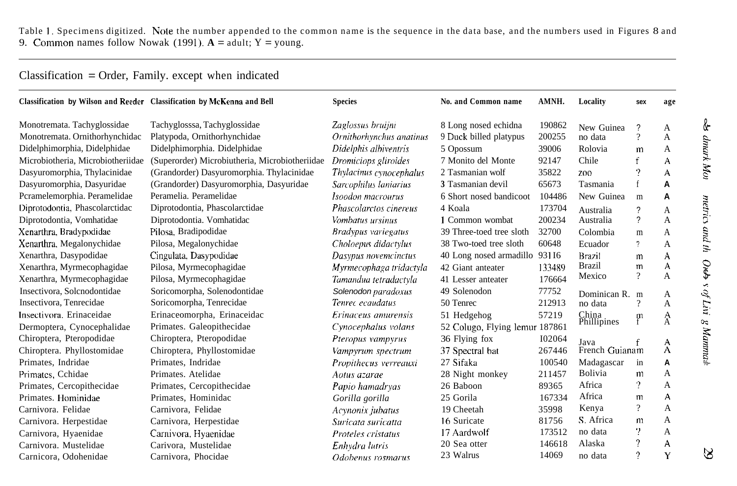# $Classification = Order$ , Family. except when indicated

| Classification by Wilson and Reeder Classification by McKenna and Bell |                                                | <b>Species</b>           | No. and Common name            | AMNH.             | Locality             | sex                | age |
|------------------------------------------------------------------------|------------------------------------------------|--------------------------|--------------------------------|-------------------|----------------------|--------------------|-----|
| Monotremata. Tachyglossidae                                            | Tachyglosssa, Tachyglossidae                   | Zaglossus bruijni        | 8 Long nosed echidna           | 190862            | New Guinea           | ?                  | A   |
| Monotremata. Ornithorhynchidac                                         | Platypoda, Ornithorhynchidae                   | Ornithorhynchus anatinus | 9 Duck billed platypus         | 200255            | no data              | $\gamma$           | A   |
| Didelphimorphia, Didelphidae                                           | Didelphimorphia. Didelphidae                   | Didelphis albiventris    | 5 Opossum                      | 39006             | Rolovia              | m                  | А   |
| Microbiotheria, Microbiotheriidae                                      | (Superorder) Microbiutheria, Microbiotheriidae | Dromiciops gliroides     | 7 Monito del Monte             | 92147             | Chile                |                    | A   |
| Dasyuromorphia, Thylacinidae                                           | (Grandorder) Dasyuromorphia. Thylacinidae      | Thylacinus cynocephalus  | 2 Tasmanian wolf               | 35822             | ZOO <sub></sub>      |                    | А   |
| Dasyuromorphia, Dasyuridae                                             | (Grandorder) Dasyuromorphia, Dasyuridae        | Sarcophilus laniarius    | 3 Tasmanian devil              | 65673             | Tasmania             |                    | A   |
| Pcramelemorphia. Peramelidae                                           | Peramelia. Peramelidae                         | Isoodon macrourus        | 6 Short nosed bandicoot        | 104486            | New Guinea           | m                  | Α   |
| Diprotodontia, Phascolarctidac                                         | Diprotodontia, Phascolarctidae                 | Phascolarctos cinereus   | 4 Koala                        | 173704            | Australia            | ?                  | A   |
| Diprotodontia, Vomhatidae                                              | Diprotodontia. Vomhatidac                      | Vombatus ursinus         | 1 Common wombat                | 200234            | Australia            | ?                  | A   |
| Xenarthra, Bradypodidae                                                | Pilosa, Bradipodidae                           | Bradypus variegatus      | 39 Three-toed tree sloth       | 32700             | Colombia             | m                  | A   |
| Xenarthra, Megalonychidae                                              | Pilosa, Megalonychidae                         | Choloepus didactylus     | 38 Two-toed tree sloth         | 60648             | Ecuador              | 7                  | А   |
| Xenarthra, Dasypodidae                                                 | Cingulata, Dasypodidae                         | Dasypus novemcinctus     | 40 Long nosed armadillo        | 931 <sub>I6</sub> | Brazil               | m                  | A   |
| Xenarthra, Myrmecophagidae                                             | Pilosa, Myrmecophagidae                        | Myrmecophaga tridactyla  | 42 Giant anteater              | 133489            | <b>Brazil</b>        | m                  | А   |
| Xenarthra, Myrmecophagidae                                             | Pilosa, Myrmecophagidae                        | Tamandua tetradactyla    | 41 Lesser anteater             | 176664            | Mexico               | $\gamma$           | A   |
| Insectivora, Solcnodontidae                                            | Soricomorpha, Solenodontidae                   | Solenodon paradoxus      | 49 Solenodon                   | 77752             | Dominican R.         | m                  | А   |
| Insectivora, Tenrecidae                                                | Soricomorpha, Tenrecidae                       | Tenrec ecaudatus         | 50 Tenrec                      | 212913            | no data              | $\overline{?}$     | А   |
| Insectivora, Erinaceidae                                               | Erinaceomorpha, Erinaceidac                    | Erinaceus amurensis      | 51 Hedgehog                    | 57219             | China<br>Phillipines | m<br>f             | Å   |
| Dermoptera, Cynocephalidae                                             | Primates. Galeopithecidae                      | Cynocephalus volans      | 52 Colugo, Flying lemur 187861 |                   |                      |                    |     |
| Chiroptera, Pteropodidae                                               | Chiroptera, Pteropodidae                       | Pteropus vampyrus        | 36 Flying fox                  | I02064            | Java                 |                    | A   |
| Chiroptera. Phyllostomidae                                             | Chiroptera, Phyllostomidae                     | Vampyrum spectrum        | 37 Spectral bat                | 267446            | French Guianam       |                    | A   |
| Primates, Indridae                                                     | Primates, Indridae                             | Propithecus verreauxi    | 27 Sifaka                      | 100540            | Madagascar           | in                 | Α   |
| Primates, Cchidae                                                      | Primates. Atelidae                             | Aotus azarae             | 28 Night monkey                | 211457            | Bolivia              | m                  | А   |
| Primates, Cercopithecidae                                              | Primates, Cercopithecidae                      | Papio hamadryas          | 26 Baboon                      | 89365             | Africa               | 2                  | A   |
| Primates. Hominidae                                                    | Primates, Hominidac                            | Gorilla gorilla          | 25 Gorila                      | 167334            | Africa               | m                  | Α   |
| Carnivora, Felidae                                                     | Carnivora, Felidae                             | Acynonix jubatus         | 19 Cheetah                     | 35998             | Kenya                | $\overline{\cdot}$ | A   |
| Carnivora. Herpestidae                                                 | Carnivora, Herpestidae                         | Suricata suricatta       | 16 Suricate                    | 81756             | S. Africa            | m                  | А   |
| Carnivora, Hyaenidae                                                   | Carnivora, Hyaenidae                           | Proteles cristatus       | 17 Aardwolf                    | 173512            | no data              | 9                  | A   |
| Carnivora. Mustelidae                                                  | Carivora, Mustelidae                           | Enhydra lutris           | 20 Sea otter                   | 146618            | Alaska               |                    | Α   |
| Carnicora, Odohenidae                                                  | Carnivora, Phocidae                            | Odobenus rosmarus        | 23 Walrus                      | 14069             | no data              | ŋ,                 | Y   |

 $\varnothing$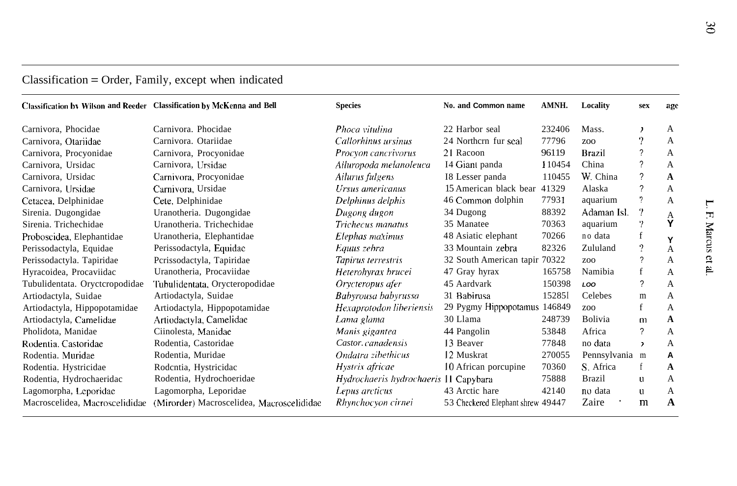# Classification = Order, Family, except when indicated

|                                | Classification by Wilson and Reeder Classification by McKenna and Bell | <b>Species</b>                        | No. and Common name               | AMNH.  | Locality         | sex            | age          |
|--------------------------------|------------------------------------------------------------------------|---------------------------------------|-----------------------------------|--------|------------------|----------------|--------------|
| Carnivora, Phocidae            | Carnivora. Phocidae                                                    | Phoca vitulina                        | 22 Harbor seal                    | 232406 | Mass.            | ,              | A            |
| Carnivora, Otariidae           | Carnivora. Otariidae                                                   | Callorhinus ursinus                   | 24 Northern fur seal              | 77796  | ZOO              | 7              | A            |
| Carnivora, Procyonidae         | Carnivora, Procyonidae                                                 | Procyon cancrivorus                   | 21 Racoon                         | 96119  | Brazil           | ?              | A            |
| Carnivora, Ursidac             | Carnivora, Ursidae                                                     | Ailuropoda melanoleuca                | 14 Giant panda                    | 110454 | China            | $\gamma$       | A            |
| Carnivora, Ursidac             | Carnivora, Procyonidae                                                 | Ailurus fulgens                       | 18 Lesser panda                   | 110455 | W. China         | ?              | A            |
| Carnivora, Ursidae             | Carnivora, Ursidae                                                     | Ursus americanus                      | 15 American black bear            | 41329  | Alaska           | ?              | A            |
| Cetacea, Delphinidae           | Cete, Delphinidae                                                      | Delphinus delphis                     | 46 Common dolphin                 | 77931  | aquarium         | ?              | $\mathsf{A}$ |
| Sirenia. Dugongidae            | Uranotheria. Dugongidae                                                | Dugong dugon                          | 34 Dugong                         | 88392  | Adaman Isl.      | 7              | A            |
| Sirenia. Trichechidae          | Uranotheria. Trichechidae                                              | Trichecus manatus                     | 35 Manatee                        | 70363  | aquarium         | 7              | Y            |
| Proboscidea, Elephantidae      | Uranotheria, Elephantidae                                              | Elephas maximus                       | 48 Asiatic elephant               | 70266  | no data          | f              | Υ            |
| Perissodactyla, Equidae        | Perissodactyla, Equidae                                                | Equus zehra                           | 33 Mountain zebra                 | 82326  | Zululand         | ?              | A            |
| Perissodactyla. Tapiridae      | Perissodactyla, Tapiridae                                              | Tapirus terrestris                    | 32 South American tapir 70322     |        | ZO <sub>O</sub>  | ?              | A            |
| Hyracoidea, Procaviidac        | Uranotheria, Procaviidae                                               | Heterohyrax brucei                    | 47 Gray hyrax                     | 165758 | Namibia          | f              | A            |
| Tubulidentata. Oryctcropodidae | Tubulidentata, Orycteropodidae                                         | Orycteropus afer                      | 45 Aardvark                       | 150398 | LOO              | $\overline{?}$ | A            |
| Artiodactyla, Suidae           | Artiodactyla, Suidae                                                   | Babyrousa babyrussa                   | 31 Babirusa                       | 152851 | Celebes          | m              | A            |
| Artiodactyla, Hippopotamidae   | Artiodactyla, Hippopotamidae                                           | Hexaprotodon liberiensis              | 29 Pygmy Hippopotamus 146849      |        | Z <sub>O</sub> O | f              | A            |
| Artiodactyla, Camelidae        | Artiodactyla, Camelidae                                                | Lama glama                            | 30 Llama                          | 248739 | Bolivia          | $m$            | $\mathbf{A}$ |
| Pholidota, Manidae             | Ciinolesta, Manidae                                                    | Manis gigantea                        | 44 Pangolin                       | 53848  | Africa           | ?              | A            |
| Rodentia, Castoridae           | Rodentia, Castoridae                                                   | Castor, canadensis                    | 13 Beaver                         | 77848  | no data          | $\lambda$      | A            |
| Rodentia. Muridae              | Rodentia, Muridae                                                      | Ondatra zibethicus                    | 12 Muskrat                        | 270055 | Pennsylvania m   |                | Α            |
| Rodentia. Hystricidae          | Rodentia, Hystricidae                                                  | Hystrix africae                       | 10 African porcupine              | 70360  | S. Africa        | f              | A            |
| Rodentia, Hydrochaeridac       | Rodentia, Hydrochoeridae                                               | Hydrochaeris hydrochaeris 11 Capybara |                                   | 75888  | <b>Brazil</b>    | u              | A            |
| Lagomorpha, Leporidae          | Lagomorpha, Leporidae                                                  | Lepus arcticus                        | 43 Arctic hare                    | 42140  | no data          | u              | A            |
| Macroscelidea, Macroscelididae | (Mirorder) Macroscelidea, Macroscelididae                              | Rhynchocyon cirnei                    | 53 Checkered Elephant shrew 49447 |        | Zaire            | m              | $\mathbf{A}$ |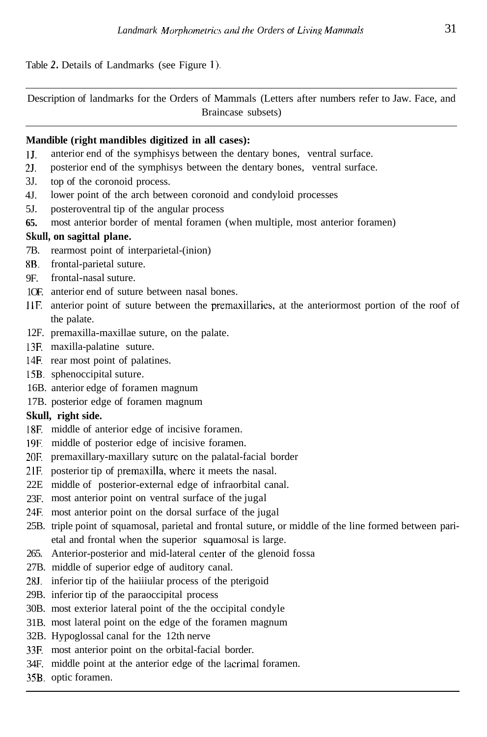Table *2.* Details of Landmarks (see Figure 1).

Description of landmarks for the Orders of Mammals (Letters after numbers refer to Jaw. Face, and Braincase subsets)

## **Mandible (right mandibles digitized in all cases):**

- 1J. anterior end of the symphisys between the dentary bones, ventral surface.
- 25. posterior end of the symphisys between the dentary bones, ventral surface.
- 3J. top of the coronoid process.
- 4J. lower point of the arch between coronoid and condyloid processes
- 5J. posteroventral tip of the angular process
- **65.**  most anterior border of mental foramen (when multiple, most anterior foramen)

# **Skull, on sagittal plane.**

- 7B. rearmost point of interparietal-(inion)
- **XB.**  frontal-parietal suture.
- 9F. frontal-nasal suture.
- 10F. anterior end of suture between nasal bones.
- 1IF. anterior point of suture between the premaxillaries, at the anteriormost portion of the roof of the palate.
- 12F. premaxilla-maxillae suture, on the palate.
- 13F. maxilla-palatine suture.
- 14F. rear most point of palatines.
- 15B. sphenoccipital suture.
- 16B. anterior edge of foramen magnum
- 17B. posterior edge of foramen magnum

# **Skull, right side.**

- I8F. middle of anterior edge of incisive foramen.
- 19F. middle of posterior edge of incisive foramen.
- 2OF. premaxillary-maxillary suture on the palatal-facial border
- 21F. posterior tip of premaxilla, wherc it meets the nasal.
- 22E middle of posterior-external edge of infraorbital canal.
- 23F. most anterior point on ventral surface of the jugal
- 24F. most anterior point on the dorsal surface of the jugal
- 25B. triple point of squamosal, parietal and frontal suture, or middle of the line formed between parietal and frontal when the superior squamosal is large.
- 265. Anterior-posterior and mid-lateral center of the glenoid fossa
- 27B. middle of superior edge of auditory canal.
- 285. inferior tip of the haiiiular process of the pterigoid
- 29B. inferior tip of the paraoccipital process
- 30B. most exterior lateral point of the the occipital condyle
- 31B. most lateral point on the edge of the foramen magnum
- 32B. Hypoglossal canal for the 12th nerve
- 33E most anterior point on the orbital-facial border.
- 34F. middle point at the anterior edge of the lacrimal foramen.
- 35B. optic foramen.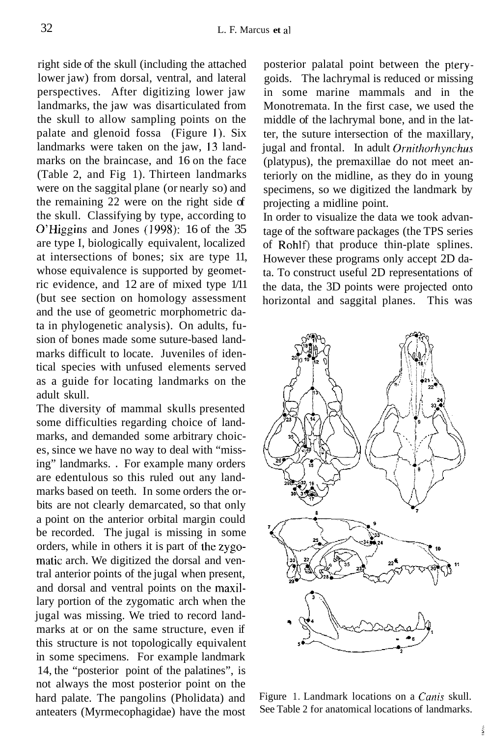right side of the skull (including the attached lower jaw) from dorsal, ventral, and lateral perspectives. After digitizing lower jaw landmarks, the jaw was disarticulated from the skull to allow sampling points on the palate and glenoid fossa (Figure I). Six landmarks were taken on the jaw, 13 landmarks on the braincase, and 16 on the face (Table 2, and Fig 1). Thirteen landmarks were on the saggital plane (or nearly so) and the remaining 22 were on the right side of the skull. Classifying by type, according to O'Higgins and Jones (1998): 16 of the 35 are type I, biologically equivalent, localized at intersections of bones; six are type 11, whose equivalence is supported by geometric evidence, and 12 are of mixed type 1/11 (but see section on homology assessment and the use of geometric morphometric data in phylogenetic analysis). On adults, fusion of bones made some suture-based landmarks difficult to locate. Juveniles of identical species with unfused elements served as a guide for locating landmarks on the adult skull.

The diversity of mammal skulls presented some difficulties regarding choice of landmarks, and demanded some arbitrary choices, since we have no way to deal with "missing" landmarks. . For example many orders are edentulous so this ruled out any landmarks based on teeth. In some orders the orbits are not clearly demarcated, so that only a point on the anterior orbital margin could be recorded. The jugal is missing in some orders, while in others it is part of the zygomatic arch. We digitized the dorsal and ventral anterior points of the jugal when present, and dorsal and ventral points on the maxillary portion of the zygomatic arch when the jugal was missing. We tried to record landmarks at or on the same structure, even if this structure is not topologically equivalent in some specimens. For example landmark 14, the "posterior point of the palatines", is not always the most posterior point on the hard palate. The pangolins (Pholidata) and anteaters (Myrmecophagidae) have the most

posterior palatal point between the pterygoids. The lachrymal is reduced or missing in some marine mammals and in the Monotremata. In the first case, we used the middle of the lachrymal bone, and in the latter, the suture intersection of the maxillary, jugal and frontal. In adult *Ornithorhynchus* (platypus), the premaxillae do not meet anteriorly on the midline, as they do in young specimens, so we digitized the landmark by projecting a midline point.

In order to visualize the data we took advantage of the software packages (the TPS series of Rohlf) that produce thin-plate splines. However these programs only accept 2D data. To construct useful 2D representations of the data, the 3D points were projected onto horizontal and saggital planes. This was



Figure 1. Landmark locations on a *Canis* skull. See Table 2 for anatomical locations of landmarks.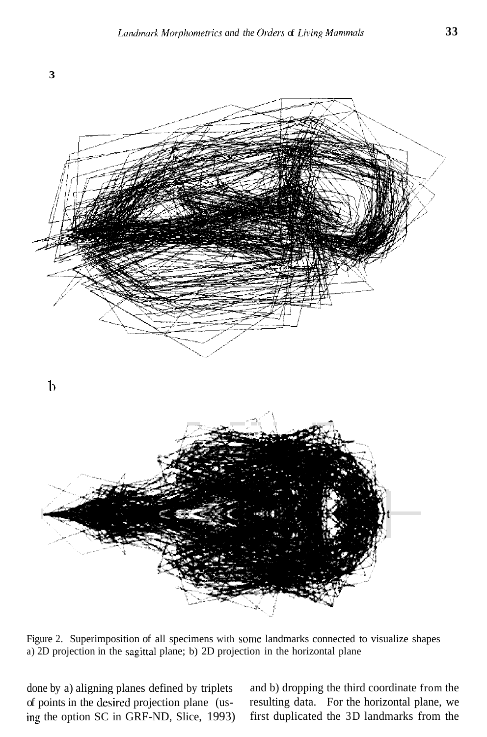

Figure 2. Superimposition of all specimens with some landmarks connected to visualize shapes a) 2D projection in the sagittal plane; b) 2D projection in the horizontal plane

done by a) aligning planes defined by triplets of points in the desired projection plane (using the option SC in GRF-ND, Slice, 1993) and b) dropping the third coordinate from the resulting data. For the horizontal plane, we first duplicated the 3D landmarks from the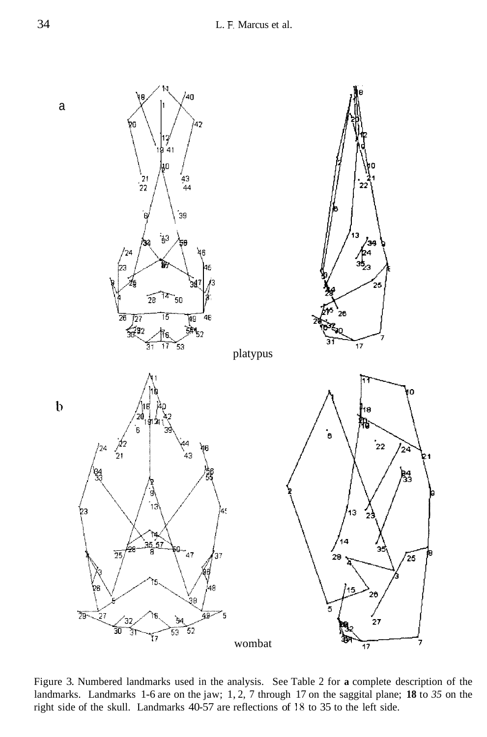40 a 42 Þ٢  $-41$ ងេ luo  $\frac{21}{22}$ -43<br>-44 39 *I*  ijЗ )<br>/24<br>35<sub>23</sub>  $^{124}$ Þз 3 25  $\overline{28}$ <sup>74</sup> 50 26 Ţ9 48 17 17 53 platypus  $\mathbf b$ ď  $\mathbf{^{22}}$ <sup>1</sup>24  $\overline{24}$ 21 43 )<br>33 ę. 13 'n  $\overline{25}$ 47 .<br>28 25  $\overline{29}$ 27 5 48 Ġ, ìw. 21 52 30 З, 53 77 wombat  $\overline{17}$ 

Figure 3. Numbered landmarks used in the analysis. See Table 2 for **a** complete description of the landmarks. Landmarks 1-6 are on the jaw; 1, 2, 7 through 17 on the saggital plane; **18** to *35* on the right side of the skull. Landmarks 40-57 are reflections of 18 to 35 to the left side.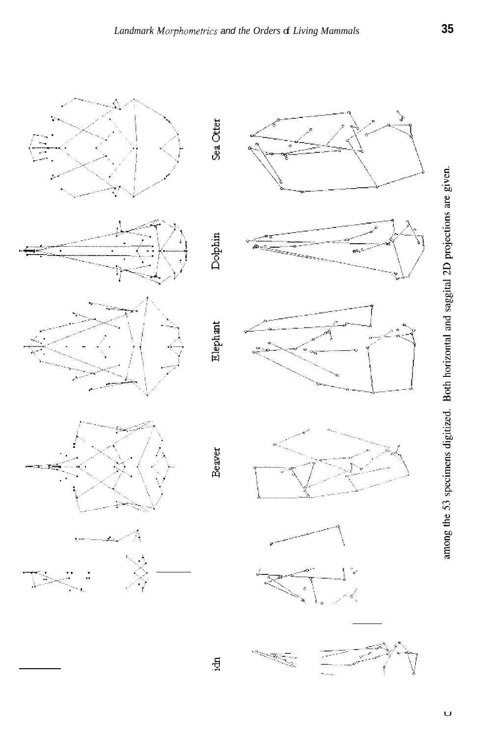

among the 53 specimens digitized. Both horizontal and saggital 2D projections are given.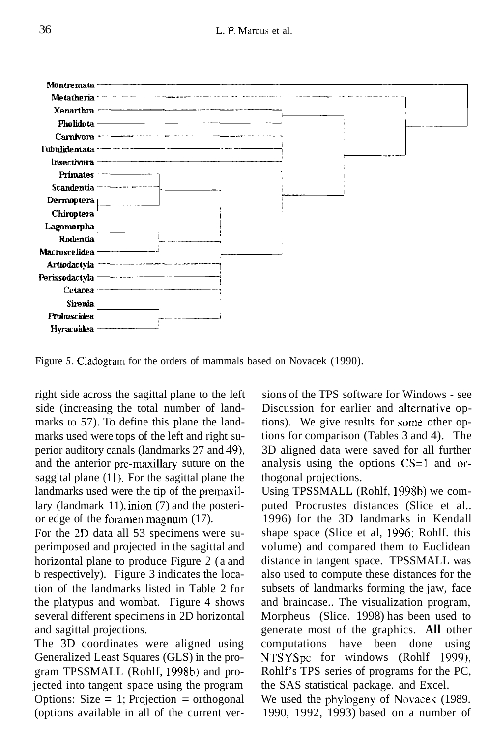#### 36 L. E Marcus et al.



Figure *5.* Cladogram for the orders of mammals based on Novacek (1990).

right side across the sagittal plane to the left side (increasing the total number of landmarks to 57). To define this plane the landmarks used were tops of the left and right superior auditory canals (landmarks 27 and 49), and the anterior pre-maxillary suture on the saggital plane  $(11)$ . For the sagittal plane the landmarks used were the tip of the premaxillary (landmark 11), inion (7) and the posterior edge of the foramen magnum (17).

For the 2D data all 53 specimens were superimposed and projected in the sagittal and horizontal plane to produce Figure 2 (a and b respectively). Figure 3 indicates the location of the landmarks listed in Table 2 for the platypus and wombat. Figure 4 shows several different specimens in 2D horizontal and sagittal projections.

The 3D coordinates were aligned using Generalized Least Squares (GLS) in the program TPSSMALL (Rohlf, 1998b) and projected into tangent space using the program Options:  $Size = 1$ ; Projection = orthogonal (options available in all of the current versions of the TPS software for Windows - see Discussion for earlier and alternative options). We give results for some other options for comparison (Tables 3 and 4). The 3D aligned data were saved for all further analysis using the options CS=1 and orthogonal projections.

Using TPSSMALL (Rohlf, 1998b) we computed Procrustes distances (Slice et al.. 1996) for the 3D landmarks in Kendall shape space (Slice et al, 1996; Rohlf. this volume) and compared them to Euclidean distance in tangent space. TPSSMALL was also used to compute these distances for the subsets of landmarks forming the jaw, face and braincase.. The visualization program, Morpheus (Slice. 1998) has been used to generate most of the graphics. **All** other computations have been done using NTSYSpc for windows (Rohlf 1999), Rohlf's TPS series of programs for the PC, the SAS statistical package. and Excel.

We used the phylogeny of Novacek (1989. 1990, 1992, 1993) based on a number of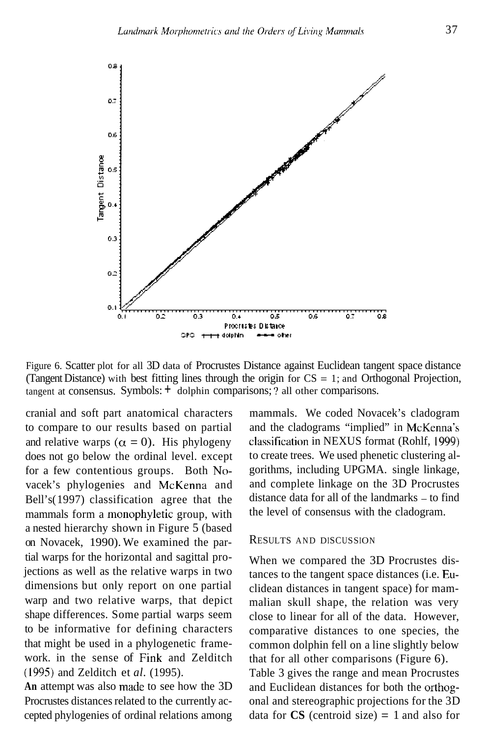

Figure 6. Scatter plot for all 3D data of Procrustes Distance against Euclidean tangent space distance (Tangent Distance) with best fitting lines through the origin for CS = 1; and Orthogonal Projection, tangent at consensus. Symbols:  $+$  dolphin comparisons; ? all other comparisons.

cranial and soft part anatomical characters to compare to our results based on partial and relative warps  $(\alpha = 0)$ . His phylogeny does not go below the ordinal level. except for a few contentious groups. Both Novacek's phylogenies and McKenna and Bell's( 1997) classification agree that the mammals form a monophyletic group, with a nested hierarchy shown in Figure 5 (based on Novacek, 1990). We examined the partial warps for the horizontal and sagittal projections as well as the relative warps in two dimensions but only report on one partial warp and two relative warps, that depict shape differences. Some partial warps seem to be informative for defining characters that might be used in a phylogenetic framework. in the sense of Fink and Zelditch (1995) and Zelditch et *al.* (1995).

**An** attempt was also made to see how the 3D Procrustes distances related to the currently accepted phylogenies of ordinal relations among

mammals. We coded Novacek's cladogram and the cladograms "implied" in McKenna's classification in NEXUS format (Rohlf, 1999) to create trees. We used phenetic clustering algorithms, including UPGMA. single linkage, and complete linkage on the 3D Procrustes distance data for all of the landmarks - to find the level of consensus with the cladogram.

#### RESULTS AND DISCUSSION

When we compared the 3D Procrustes distances to the tangent space distances (i.e. Euclidean distances in tangent space) for mammalian skull shape, the relation was very close to linear for all of the data. However, comparative distances to one species, the common dolphin fell on a line slightly below that for all other comparisons (Figure 6).

Table 3 gives the range and mean Procrustes and Euclidean distances for both the orthogonal and stereographic projections for the 3D data for  $CS$  (centroid size) = 1 and also for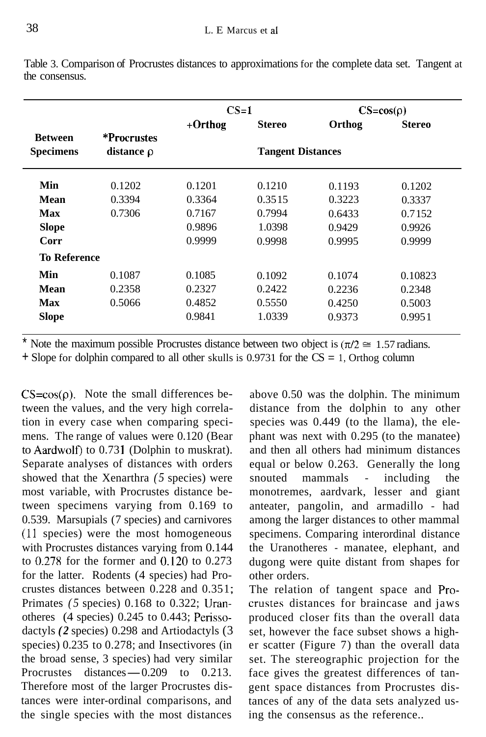|                     |                 | $CS=1$                   |               | $CS = cos(\rho)$ |               |  |
|---------------------|-----------------|--------------------------|---------------|------------------|---------------|--|
| <b>Between</b>      | *Procrustes     | +Orthog                  | <b>Stereo</b> | Orthog           | <b>Stereo</b> |  |
| <b>Specimens</b>    | distance $\rho$ | <b>Tangent Distances</b> |               |                  |               |  |
| Min                 | 0.1202          | 0.1201                   | 0.1210        | 0.1193           | 0.1202        |  |
| Mean                | 0.3394          | 0.3364                   | 0.3515        | 0.3223           | 0.3337        |  |
| Max                 | 0.7306          | 0.7167                   | 0.7994        | 0.6433           | 0.7152        |  |
| <b>Slope</b>        |                 | 0.9896                   | 1.0398        | 0.9429           | 0.9926        |  |
| Corr                |                 | 0.9999                   | 0.9998        | 0.9995           | 0.9999        |  |
| <b>To Reference</b> |                 |                          |               |                  |               |  |
| Min                 | 0.1087          | 0.1085                   | 0.1092        | 0.1074           | 0.10823       |  |
| Mean                | 0.2358          | 0.2327                   | 0.2422        | 0.2236           | 0.2348        |  |
| Max                 | 0.5066          | 0.4852                   | 0.5550        | 0.4250           | 0.5003        |  |
| <b>Slope</b>        |                 | 0.9841                   | 1.0339        | 0.9373           | 0.9951        |  |

Table 3. Comparison of Procrustes distances to approximations for the complete data set. Tangent at the consensus.

\* Note the maximum possible Procrustes distance between two object is  $(\pi/2 \cong 1.57 \text{ radians})$ .

 $+$  Slope for dolphin compared to all other skulls is 0.9731 for the  $CS = 1$ , Orthog column

 $CS = cos(\rho)$ . Note the small differences between the values, and the very high correlation in every case when comparing specimens. The range of values were 0.120 (Bear to Aardwolf) to 0.731 (Dolphin to muskrat). Separate analyses of distances with orders showed that the Xenarthra *(5* species) were most variable, with Procrustes distance between specimens varying from 0.169 to 0.539. Marsupials (7 species) and carnivores (11 species) were the most homogeneous with Procrustes distances varying from 0.144 to 0.278 for the former and  $0.\overline{1}20$  to 0.273 for the latter. Rodents (4 species) had Procrustes distances between 0.228 and 0.351; Primates *(5* species) 0.168 to 0.322; Uranotheres (4 species) 0.245 to 0.443; Perissodactyls *(2* species) 0.298 and Artiodactyls (3 species) 0.235 to 0.278; and Insectivores (in the broad sense, 3 species) had very similar species)  $0.235$  to  $0.278$ ; and Insectivores (in the broad sense, 3 species) had very similar Procrustes distances  $-0.209$  to  $0.213$ . Therefore most of the larger Procrustes distances were inter-ordinal comparisons, and the single species with the most distances

above 0.50 was the dolphin. The minimum distance from the dolphin to any other species was 0.449 (to the llama), the elephant was next with 0.295 (to the manatee) and then all others had minimum distances equal or below 0.263. Generally the long snouted mammals - including the monotremes, aardvark, lesser and giant anteater, pangolin, and armadillo - had among the larger distances to other mammal specimens. Comparing interordinal distance the Uranotheres - manatee, elephant, and dugong were quite distant from shapes for other orders.

The relation of tangent space and Procrustes distances for braincase and jaws produced closer fits than the overall data set, however the face subset shows a higher scatter (Figure 7) than the overall data set. The stereographic projection for the face gives the greatest differences of tangent space distances from Procrustes distances of any of the data sets analyzed using the consensus as the reference..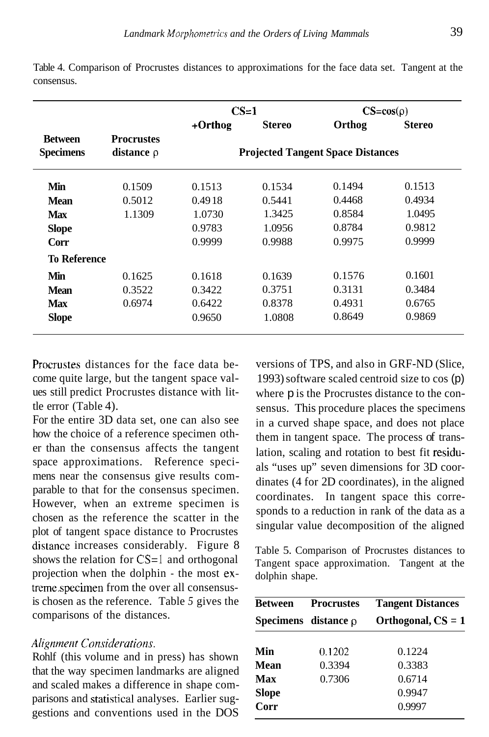|                     |                   | $CS=1$                                   |               | $CS = cos(\rho)$ |        |  |
|---------------------|-------------------|------------------------------------------|---------------|------------------|--------|--|
| <b>Between</b>      | <b>Procrustes</b> | +Orthog                                  | <b>Stereo</b> | Orthog           | Stereo |  |
| <b>Specimens</b>    | distance $\rho$   | <b>Projected Tangent Space Distances</b> |               |                  |        |  |
| Min                 | 0.1509            | 0.1513                                   | 0.1534        | 0.1494           | 0.1513 |  |
| <b>Mean</b>         | 0.5012            | 0.4918                                   | 0.5441        | 0.4468           | 0.4934 |  |
| Max                 | 1.1309            | 1.0730                                   | 1.3425        | 0.8584           | 1.0495 |  |
| <b>Slope</b>        |                   | 0.9783                                   | 1.0956        | 0.8784           | 0.9812 |  |
| Corr                |                   | 0.9999                                   | 0.9988        | 0.9975           | 0.9999 |  |
| <b>To Reference</b> |                   |                                          |               |                  |        |  |
| Min                 | 0.1625            | 0.1618                                   | 0.1639        | 0.1576           | 0.1601 |  |
| <b>Mean</b>         | 0.3522            | 0.3422                                   | 0.3751        | 0.3131           | 0.3484 |  |
| Max                 | 0.6974            | 0.6422                                   | 0.8378        | 0.4931           | 0.6765 |  |
| <b>Slope</b>        |                   | 0.9650                                   | 1.0808        | 0.8649           | 0.9869 |  |

Table 4. Comparison of Procrustes distances to approximations for the face data set. Tangent at the consensus.

Procrustes distances for the face data become quite large, but the tangent space values still predict Procrustes distance with little error (Table 4).

For the entire 3D data set, one can also see how the choice of a reference specimen other than the consensus affects the tangent space approximations. Reference specimens near the consensus give results comparable to that for the consensus specimen. However, when an extreme specimen is chosen as the reference the scatter in the plot of tangent space distance to Procrustes distance increases considerably. Figure 8 shows the relation for CS=1 and orthogonal projection when the dolphin - the most extremespecimen from the over all consensusis chosen as the reference. Table *5* gives the comparisons of the distances.

## *Alignment Considerations.*

Rohlf (this volume and in press) has shown that the way specimen landmarks are aligned and scaled makes a difference in shape comparisons and statistical analyses. Earlier suggestions and conventions used in the DOS

versions of TPS, and also in GRF-ND (Slice, 1993) software scaled centroid size to cos (p) where p is the Procrustes distance to the consensus. This procedure places the specimens in a curved shape space, and does not place them in tangent space. The process of translation, scaling and rotation to best fit residuals "uses up" seven dimensions for 3D coordinates (4 for 2D coordinates), in the aligned coordinates. In tangent space this corresponds to a reduction in rank of the data as a singular value decomposition of the aligned

Table 5. Comparison of Procrustes distances to Tangent space approximation. Tangent at the dolphin shape.

| <b>Procrustes</b>           | <b>Tangent Distances</b> |
|-----------------------------|--------------------------|
| <b>Specimens</b> distance p | Orthogonal, $CS = 1$     |
| 0.1202                      | 0.1224                   |
| 0.3394                      | 0.3383                   |
| 0.7306                      | 0.6714                   |
|                             | 0.9947                   |
|                             | 0.9997                   |
|                             |                          |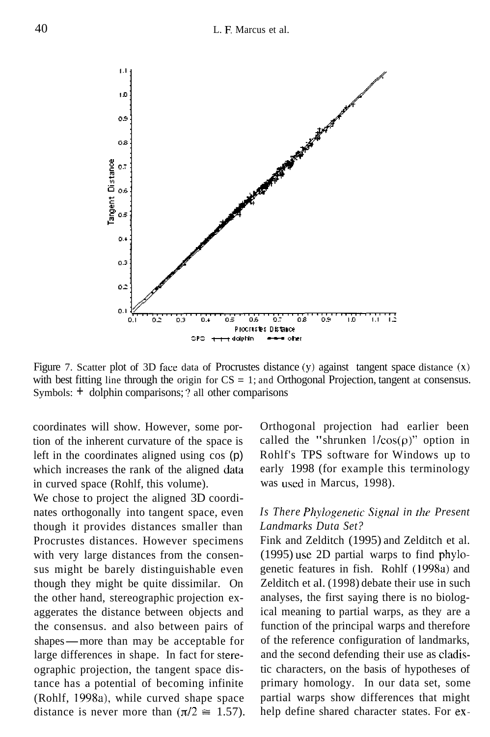

Figure 7. Scatter plot of 3D face data of Procrustes distance (y) against tangent space distance **(x)**  with best fitting line through the origin for  $CS = 1$ ; and Orthogonal Projection, tangent at consensus. Symbols: + dolphin comparisons; ? all other comparisons

coordinates will show. However, some portion of the inherent curvature of the space is left in the coordinates aligned using cos (p) which increases the rank of the aligned data in curved space (Rohlf, this volume).

We chose to project the aligned 3D coordinates orthogonally into tangent space, even though it provides distances smaller than Procrustes distances. However specimens with very large distances from the consensus might be barely distinguishable even though they might be quite dissimilar. On the other hand, stereographic projection exaggerates the distance between objects and the consensus. and also between pairs of shapes—more than may be acceptable for large differences in shape. In fact for stereographic projection, the tangent space distance has a potential of becoming infinite (Rohlf, 1998a), while curved shape space distance is never more than  $(\pi/2 \approx 1.57)$ . Orthogonal projection had earlier been called the "shrunken  $1/cos(\rho)$ " option in Rohlf's TPS software for Windows up to early 1998 (for example this terminology was used in Marcus, 1998).

# *Is There Phylogenetic Signal in the Present Landmarks Duta Set?*

Fink and Zelditch (1995) and Zelditch et al. (1995) use 2D partial warps to find phylogenetic features in fish. Rohlf (199%) and Zelditch et al. (1998) debate their use in such analyses, the first saying there is no biological meaning to partial warps, as they are a function of the principal warps and therefore of the reference configuration of landmarks, and the second defending their use as cladistic characters, on the basis of hypotheses of primary homology. In our data set, some partial warps show differences that might help define shared character states. For ex-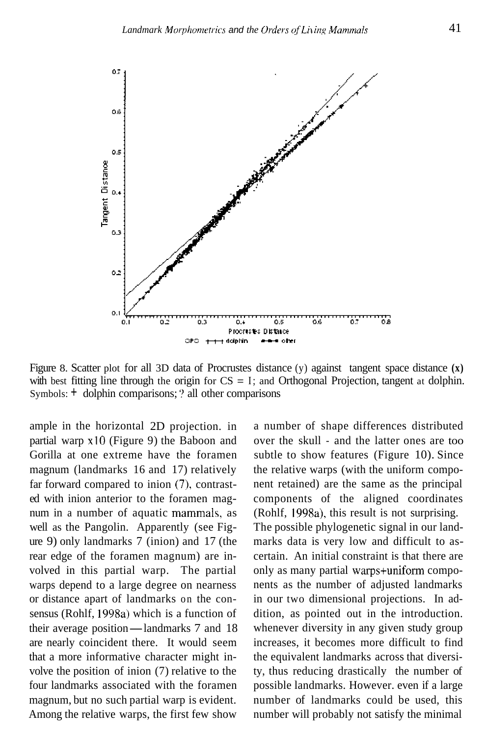

Figure 8. Scatter plot for all 3D data of Procrustes distance (y) against tangent space distance **(x)**  with best fitting line through the origin for  $CS = I$ ; and Orthogonal Projection, tangent at dolphin. Symbols:  $+$  dolphin comparisons; ? all other comparisons

ample in the horizontal 2D projection. in partial warp x10 (Figure 9) the Baboon and Gorilla at one extreme have the foramen magnum (landmarks 16 and 17) relatively far forward compared to inion (7), contrasted with inion anterior to the foramen magnum in a number of aquatic mammals, as well as the Pangolin. Apparently (see Figure 9) only landmarks 7 (inion) and 17 (the rear edge of the foramen magnum) are involved in this partial warp. The partial warps depend to a large degree on nearness or distance apart of landmarks on the consensus (Rohlf, 1998a) which is a function of their average position—landmarks 7 and 18 are nearly coincident there. It would seem that a more informative character might involve the position of inion (7) relative to the four landmarks associated with the foramen magnum, but no such partial warp is evident. Among the relative warps, the first few show

a number of shape differences distributed over the skull - and the latter ones are too subtle to show features (Figure 10). Since the relative warps (with the uniform component retained) are the same as the principal components of the aligned coordinates (Rohlf, 1998a), this result is not surprising. The possible phylogenetic signal in our landmarks data is very low and difficult to ascertain. An initial constraint is that there are only as many partial warps+uniform components as the number of adjusted landmarks in our two dimensional projections. In addition, as pointed out in the introduction. whenever diversity in any given study group increases, it becomes more difficult to find the equivalent landmarks across that diversity, thus reducing drastically the number of possible landmarks. However. even if a large number of landmarks could be used, this number will probably not satisfy the minimal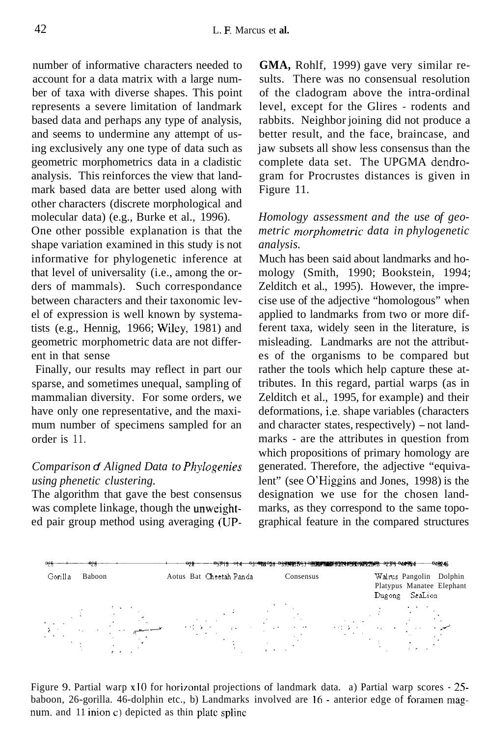number of informative characters needed to account for a data matrix with a large number of taxa with diverse shapes. This point represents a severe limitation of landmark based data and perhaps any type of analysis, and seems to undermine any attempt of using exclusively any one type of data such as geometric morphometrics data in a cladistic analysis. This reinforces the view that landmark based data are better used along with other characters (discrete morphological and molecular data) (e.g., Burke et al., 1996).

One other possible explanation is that the shape variation examined in this study is not informative for phylogenetic inference at that level of universality (i.e., among the orders of mammals). Such correspondance between characters and their taxonomic level of expression is well known by systematists (e.g., Hennig, 1966; Wiley, 1981) and geometric morphometric data are not different in that sense

Finally, our results may reflect in part our sparse, and sometimes unequal, sampling of mammalian diversity. For some orders, we have only one representative, and the maximum number of specimens sampled for an order is 11.

# *Comparison of Aligned Data to Phylogenies using phenetic clustering.*

The algorithm that gave the best consensus was complete linkage, though the unweighted pair group method using averaging (UP-

**GMA,** Rohlf, 1999) gave very similar results. There was no consensual resolution of the cladogram above the intra-ordinal level, except for the Glires - rodents and rabbits. Neighbor joining did not produce a better result, and the face, braincase, and jaw subsets all show less consensus than the complete data set. The UPGMA dendrogram for Procrustes distances is given in Figure 11.

*Homology assessment and the use of geometric morphometric data in phylogenetic analysis.* 

Much has been said about landmarks and homology (Smith, 1990; Bookstein, 1994; Zelditch et al., 1995). However, the imprecise use of the adjective "homologous" when applied to landmarks from two or more different taxa, widely seen in the literature, is misleading. Landmarks are not the attributes of the organisms to be compared but rather the tools which help capture these attributes. In this regard, partial warps (as in Zelditch et al., 1995, for example) and their deformations, i.e. shape variables (characters and character states, respectively) - not landmarks - are the attributes in question from which propositions of primary homology are generated. Therefore, the adjective "equivalent" (see O'Higgins and Jones, 1998) is the designation we use for the chosen landmarks, as they correspond to the same topographical feature in the compared structures



Figure 9. Partial warp **x10** for horirontal projections of landmark data. a) Partial warp scores - *25*  baboon, 26-gorilla. 46-dolphin etc., b) Landmarks involved are **16** - anterior edge of forainen niagnum, and  $11$  inion c) depicted as thin plate spline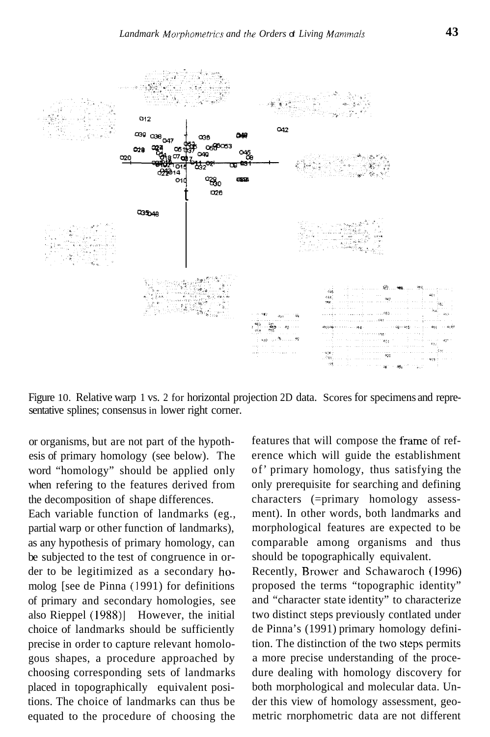

Figure 10. Relative warp 1 vs. 2 for horizontal projection 2D data. Scores for specimens and representative splines; consensus in lower right corner.

or organisms, but are not part of the hypothesis of primary homology (see below). The word "homology" should be applied only when refering to the features derived from the decomposition of shape differences.

Each variable function of landmarks (eg., partial warp or other function of landmarks), as any hypothesis of primary homology, can be subjected to the test of congruence in order to be legitimized as a secondary homolog [see de Pinna (1991) for definitions of primary and secondary homologies, see also Rieppel (1988)] However, the initial choice of landmarks should be sufficiently precise in order to capture relevant homologous shapes, a procedure approached by choosing corresponding sets of landmarks placed in topographically equivalent positions. The choice of landmarks can thus be equated to the procedure of choosing the

features that will compose the frame of reference which will guide the establishment of' primary homology, thus satisfying the only prerequisite for searching and defining characters (=primary homology assessment). In other words, both landmarks and morphological features are expected to be comparable among organisms and thus should be topographically equivalent.

Recently, Brower and Schawaroch (1996) proposed the terms "topographic identity" and "character state identity" to characterize two distinct steps previously contlated under de Pinna's (1991) primary homology definition. The distinction of the two steps permits a more precise understanding of the procedure dealing with homology discovery for both morphological and molecular data. Under this view of homology assessment, geometric rnorphometric data are not different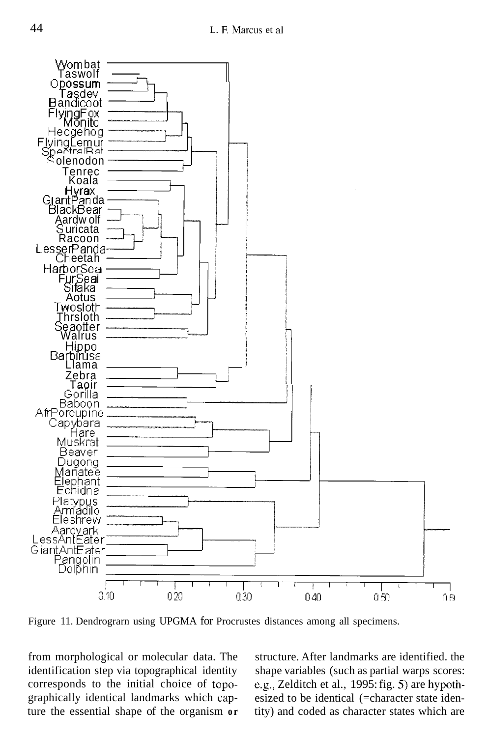

Figure 11. Dendrogram using UPGMA for Procrustes distances among all specimens.

from morphological or molecular data. The identification step via topographical identity corresponds to the initial choice of topographically identical landmarks which capture the essential shape of the organism or

structure. After landmarks are identified. the shape variables (such as partial warps scores: e.g., Zelditch et al., 1995: fig. 5) are hypothesized to be identical (=character state identity) and coded as character states which are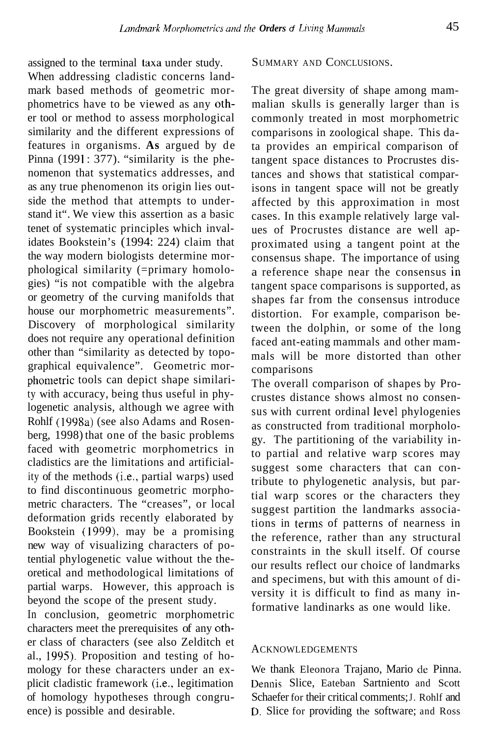assigned to the terminal taxa under study.

When addressing cladistic concerns landmark based methods of geometric morphometrics have to be viewed as any other tool or method to assess morphological similarity and the different expressions of features in organisms. **As** argued by de Pinna  $(1991: 377)$ . "similarity is the phenomenon that systematics addresses, and as any true phenomenon its origin lies outside the method that attempts to understand it". We view this assertion as a basic tenet of systematic principles which invalidates Bookstein's (1994: 224) claim that the way modern biologists determine morphological similarity (=primary homologies) "is not compatible with the algebra or geometry of the curving manifolds that house our morphometric measurements". Discovery of morphological similarity does not require any operational definition other than "similarity as detected by topographical equivalence". Geometric morphometric tools can depict shape similarity with accuracy, being thus useful in phylogenetic analysis, although we agree with Rohlf (1998a) (see also Adams and Rosenberg, 1998) that one of the basic problems faced with geometric morphometrics in cladistics are the limitations and artificiality of the methods (i.e., partial warps) used to find discontinuous geometric morphometric characters. The "creases", or local deformation grids recently elaborated by Bookstein (1999), may be a promising new way of visualizing characters of potential phylogenetic value without the theoretical and methodological limitations of partial warps. However, this approach is beyond the scope of the present study.

In conclusion, geometric morphometric characters meet the prerequisites of any other class of characters (see also Zelditch et al., 1995). Proposition and testing of homology for these characters under an explicit cladistic framework (i.e., legitimation of homology hypotheses through congruence) is possible and desirable.

#### SUMMARY AND CONCLUSIONS.

The great diversity of shape among mammalian skulls is generally larger than is commonly treated in most morphometric comparisons in zoological shape. This data provides an empirical comparison of tangent space distances to Procrustes distances and shows that statistical comparisons in tangent space will not be greatly affected by this approximation in most cases. In this example relatively large values of Procrustes distance are well approximated using a tangent point at the consensus shape. The importance of using a reference shape near the consensus in tangent space comparisons is supported, as shapes far from the consensus introduce distortion. For example, comparison between the dolphin, or some of the long faced ant-eating mammals and other mammals will be more distorted than other comparisons

The overall comparison of shapes by Procrustes distance shows almost no consensus with current ordinal level phylogenies as constructed from traditional morphology. The partitioning of the variability into partial and relative warp scores may suggest some characters that can contribute to phylogenetic analysis, but partial warp scores or the characters they suggest partition the landmarks associations in terms of patterns of nearness in the reference, rather than any structural constraints in the skull itself. Of course our results reflect our choice of landmarks and specimens, but with this amount of diversity it is difficult to find as many informative landinarks as one would like.

#### ACKNOWLEDGEMENTS

We thank Eleonora Trajano, Mario de Pinna. Dennis Slice, Eateban Sartniento and Scott Schaefer for their critical comments; J. Rohlf and D. Slice for providing the software; and Ross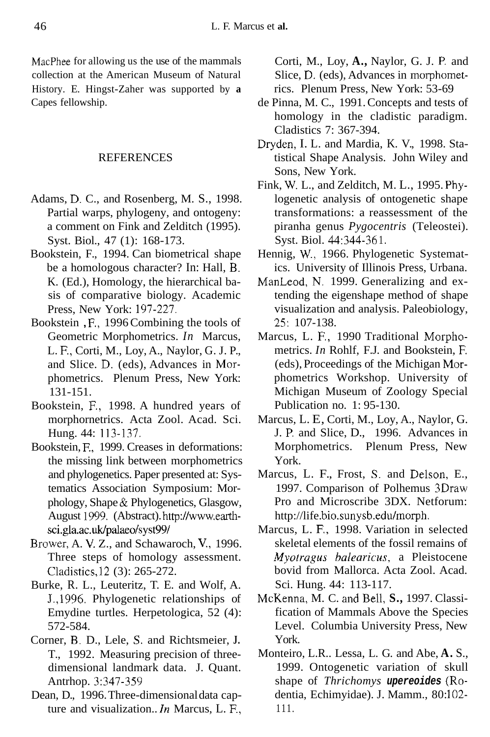MacPhee for allowing us the use of the mammals collection at the American Museum of Natural History. E. Hingst-Zaher was supported by **a**  Capes fellowship.

# **REFERENCES**

- Adams, D. C., and Rosenberg, M. S., 1998. Partial warps, phylogeny, and ontogeny: a comment on Fink and Zelditch (1995). Syst. Biol., 47 (1): 168-173.
- Bookstein, F., 1994. Can biometrical shape be a homologous character? In: Hall, B. K. (Ed.), Homology, the hierarchical basis of comparative biology. Academic Press, New York: 197-227.
- Bookstein, F., 1996 Combining the tools of Geometric Morphometrics. *In* Marcus, L. E, Corti, M., Loy, A., Naylor, G. J. P., and Slice. D. (eds), Advances in Morphometrics. Plenum Press, New York: 131-151.
- Bookstein, E, 1998. A hundred years of morphornetrics. Acta Zool. Acad. Sci. Hung. 44: 113-137.
- Bookstein, E, 1999. Creases in deformations: the missing link between morphometrics and phylogenetics. Paper presented at: Systematics Association Symposium: Morphology, Shape *8:* Phylogenetics, Glasgow, August 1999. (Abstract). http://www.earth**sci.gla.ac.uk/palaeo/syst99/**
- Brower, A. **V.** Z., and Schawaroch, V., 1996. Three steps of homology assessment. Cladistics,12 (3): 265-272.
- Burke, R. L., Leuteritz, T. E. and Wolf, A. J.,1996. Phylogenetic relationships of Emydine turtles. Herpetologica, 52 (4): 572-584.
- Corner, **B.** D., Lele, **S.** and Richtsmeier, **J.**  T., 1992. Measuring precision of threedimensional landmark data. J. Quant. Antrhop. 3:347-359
- Dean, D., 1996. Three-dimensional data capture and visualization.. *In* Marcus, L. E,

Corti, M., Loy, **A.,** Naylor, G. J. **P.** and Slice, D. (eds), Advances in morphometrics. Plenum Press, New York: 53-69

- de Pinna, M. C., 1991. Concepts and tests of homology in the cladistic paradigm. Cladistics 7: 367-394.
- Dryden, I. L. and Mardia, K. V., 1998. Statistical Shape Analysis. John Wiley and Sons, New York.
- Fink, W. L., and Zelditch, M. L., 1995. Phylogenetic analysis of ontogenetic shape transformations: a reassessment of the piranha genus *Pygocentris* (Teleostei). Syst. Biol. 44:344-36 1.
- Hennig, W., 1966. Phylogenetic Systematics. University of Illinois Press, Urbana.
- ManLeod, N. 1999. Generalizing and extending the eigenshape method of shape visualization and analysis. Paleobiology, *25:* 107-138.
- Marcus, L. E, 1990 Traditional Morphometrics. *In* Rohlf, F.J. and Bookstein, E (eds), Proceedings of the Michigan Morphometrics Workshop. University of Michigan Museum of Zoology Special Publication no. 1: 95-130.
- Marcus, L. E, Corti, M., Loy, A., Naylor, G. J. P. and Slice, D., 1996. Advances in Morphometrics. Plenum Press, New York.
- Marcus, L. F., Frost, **S.** and Delson, E., 1997. Comparison of Polhemus 3Draw Pro and Microscribe 3DX. Netforum: http://life. bio.sunysb.edu/morph.
- Marcus, L. E, 1998. Variation in selected skeletal elements of the fossil remains of *Myotragus hulearicus,* a Pleistocene bovid from Mallorca. Acta Zool. Acad. Sci. Hung. 44: 113-117.
- McKenna, M. C. and Bell, S., 1997. Classification of Mammals Above the Species Level. Columbia University Press, New York.
- Monteiro, L.R.. Lessa, L. G. and Abe, **A.** S., 1999. Ontogenetic variation of skull shape of *Thrichomys upereoides* (Rodentia, Echimyidae). J. Mamm., 80:102-111.